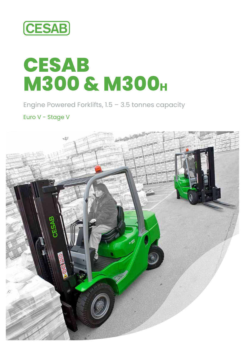

# **CESAB M300 & M300H**

Engine Powered Forklifts, 1.5 – 3.5 tonnes capacity

Euro V - Stage V

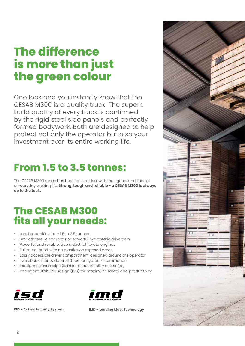## **The difference is more than just the green colour**

One look and you instantly know that the CESAB M300 is a quality truck. The superb build quality of every truck is confirmed by the rigid steel side panels and perfectly formed bodywork. Both are designed to help protect not only the operator but also your investment over its entire working life.

### **From 1.5 to 3.5 tonnes:**

The CESAB M300 range has been built to deal with the rigours and knocks of everyday working life. **Strong, tough and reliable - a CESAB M300 is always up to the task.**

### **The CESAB M300 fits all your needs:**

- Load capacities from 1.5 to 3.5 tonnes
- Smooth torque converter or powerful hydrostatic drive train
- Powerful and reliable: true industrial Toyota engines
- Full metal build, with no plastics on exposed areas
- Easily accessible driver compartment, designed around the operator
- Two choices for pedal and three for hydraulic commands
- Intelligent Mast Design (IMD) for better visibility and safety
- Intelligent Stability Design (ISD) for maximum safety and productivity





**ISD – Active Security System IMD – Leading Mast Technology**

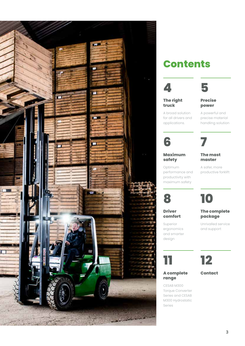

### **Contents**



#### **The right truck**

A broad solution for all drivers and applications.

### **power** A powerful and

**Precise** 

**5**

precise material handling solution

**6**

Optimum

**8**

**Driver comfort** Superior ergonomics and smarter design

### **Maximum safety**

performance and productivity with

### **The mast master**

**7**

A safer, more productive forklift

maximum safety **10**

### **The complete package**

Unrivalled service and support

# **12**

### **Contact**

**range** CESAB M300 Torque Converter Series and CESAB M300 Hydrostatic

**A complete** 

**11**

Series

### **3**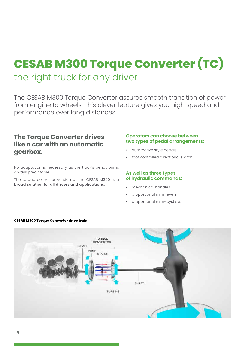# **CESAB M300 Torque Converter (TC)** the right truck for any driver

The CESAB M300 Torque Converter assures smooth transition of power from engine to wheels. This clever feature gives you high speed and performance over long distances.

### **The Torque Converter drives like a car with an automatic gearbox.**

No adaptation is necessary as the truck's behaviour is always predictable.

The torque converter version of the CESAB M300 is a **broad solution for all drivers and applications**.

### **Operators can choose between two types of pedal arrangements:**

- automotive style pedals
- foot controlled directional switch

### **As well as three types of hydraulic commands:**

- mechanical handles
- proportional mini-levers
- proportional mini-joysticks



#### **CESAB M300 Torque Converter drive train**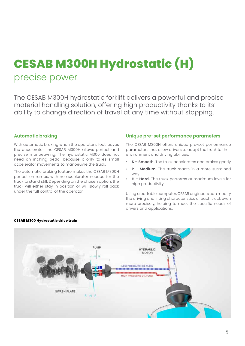# **CESAB M300H Hydrostatic (H)** precise power

The CESAB M300H hydrostatic forklift delivers a powerful and precise material handling solution, offering high productivity thanks to its' ability to change direction of travel at any time without stopping.

#### **Automatic braking**

With automatic braking when the operator's foot leaves the accelerator, the CESAB M300H allows perfect and precise manoeuvring. The hydrostatic M300 does not need an inching pedal because it only takes small accelerator movements to manoeuvre the truck.

The automatic braking feature makes the CESAB M300H perfect on ramps, with no accelerator needed for the truck to stand still. Depending on the chosen option, the truck will either stay in position or will slowly roll back under the full control of the operator.

#### **Unique pre-set performance parameters**

The CESAB M300H offers unique pre-set performance parameters that allow drivers to adapt the truck to their environment and driving abilities:

- **S Smooth.** The truck accelerates and brakes gently
- **P Medium.** The truck reacts in a more sustained way
- **H Hard.** The truck performs at maximum levels for high productivity

Using a portable computer, CESAB engineers can modify the driving and lifting characteristics of each truck even more precisely, helping to meet the specific needs of drivers and applications.



#### **CESAB M300 Hydrostatic drive train**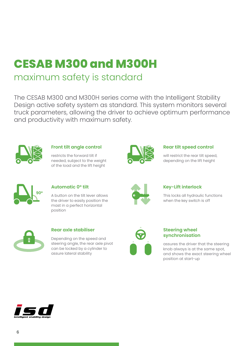# **CESAB M300 and M300H**

### maximum safety is standard

The CESAB M300 and M300H series come with the Intelligent Stability Design active safety system as standard. This system monitors several truck parameters, allowing the driver to achieve optimum performance and productivity with maximum safety.



### **Front tilt angle control**

restricts the forward tilt if needed, subject to the weight of the load and the lift height



### **Rear tilt speed control**

will restrict the rear tilt speed, depending on the lift height



### **Automatic 0° tilt**

A button on the tilt lever allows the driver to easily position the mast in a perfect horizontal position



### **Key-Lift interlock**

This locks all hydraulic functions when the key switch is off



### **Rear axle stabiliser**

Depending on the speed and steering angle, the rear axle pivot can be locked by a cylinder to assure lateral stability



### **Steering wheel synchronisation**

assures the driver that the steering knob always is at the same spot, and shows the exact steering wheel position at start-up

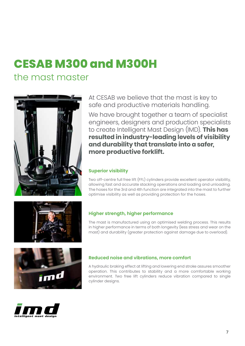# **CESAB M300 and M300H**

### the mast master



At CESAB we believe that the mast is key to safe and productive materials handling.

We have brought together a team of specialist engineers, designers and production specialists to create Intelligent Mast Design (IMD). **This has resulted in industry-leading levels of visibility and durability that translate into a safer, more productive forklift.**

### **Superior visibility**

Two off-centre full free lift (FFL) cylinders provide excellent operator visibility, allowing fast and accurate stacking operations and loading and unloading. The hoses for the 3rd and 4th function are integrated into the mast to further optimise visibility as well as providing protection for the hoses.



### **Higher strength, higher performance**

The mast is manufactured using an optimised welding process. This results in higher performance in terms of both longevity (less stress and wear on the mast) and durability (greater protection against damage due to overload).





### **Reduced noise and vibrations, more comfort**

A hydraulic braking effect at lifting and lowering end stroke assures smoother operation. This contributes to stability and a more comfortable working environment. Two free lift cylinders reduce vibration compared to single cylinder designs.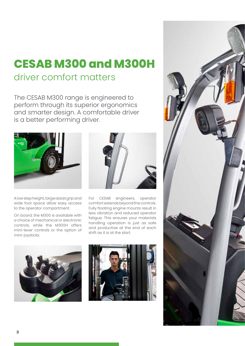## **CESAB M300 and M300H** driver comfort matters

The CESAB M300 range is engineered to perform through its superior ergonomics and smarter design. A comfortable driver is a better performing driver.



A low step height, large assist grip and wide foot space allow easy access to the operator compartment.

On board, the M300 is available with a choice of mechanical or electronic controls, while the M300H offers mini-lever controls or the option of mini-joysticks.



For CESAB engineers, operator comfort extends beyond the controls. Fully floating engine mounts result in less vibration and reduced operator fatigue. This ensures your materials handling operation is just as safe and productive at the end of each shift as it is at the start.





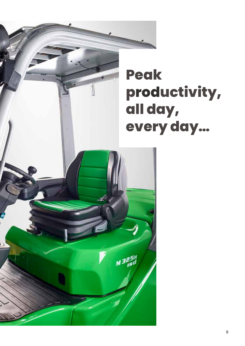

# **productivity, all day, every day…**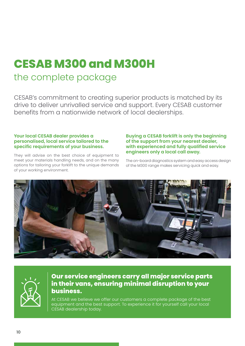# **CESAB M300 and M300H** the complete package

CESAB's commitment to creating superior products is matched by its drive to deliver unrivalled service and support. Every CESAB customer benefits from a nationwide network of local dealerships.

### **Your local CESAB dealer provides a personalised, local service tailored to the specific requirements of your business.**

They will advise on the best choice of equipment to meet your materials handling needs, and on the many options for tailoring your forklift to the unique demands of your working environment.

### **Buying a CESAB forklift is only the beginning of the support from your nearest dealer, with experienced and fully qualified service engineers only a local call away.**

The on-board diagnostics system and easy access design of the M300 range makes servicing quick and easy.





### **Our service engineers carry all major service parts in their vans, ensuring minimal disruption to your business.**

At CESAB we believe we offer our customers a complete package of the best equipment and the best support. To experience it for yourself call your local CESAB dealership today.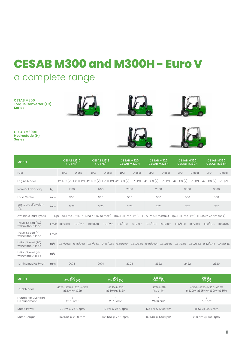# **CESAB M300 and M300H - Euro V**

### a complete range

**CESAB M300 Torque Converter (TC) Series**







**CESAB M300H Hydrostatic (H) Series**



| <b>MODEL</b>                        | LPG<br>4Y-ECS (V)                  | $LPG$<br>4Y-ECS (V)      | DIESEL<br>(V) IIDZ-III   | <b>DIESEL</b><br>$\overline{\mathsf{IZS}}(\overline{\mathsf{V}})$ |
|-------------------------------------|------------------------------------|--------------------------|--------------------------|-------------------------------------------------------------------|
| Truck Model                         | M315-M318-M320-M325<br>M320H-M325H | M330-M335<br>M330H-M335H | M315-M318<br>(TC only)   | M320-M325-M330-M335<br>M320H-M325H-M330H-M335H                    |
| Number of Cylinders<br>Displacement | 4<br>$2570 \text{ cm}^3$           | 4<br>$2570 \text{ cm}^3$ | 4<br>$2486 \text{ cm}^3$ | 3<br>1795 cm <sup>3</sup>                                         |
| <b>Rated Power</b>                  | 38 kW @ 2570 rpm                   | 42 kW @ 2570 rpm         | 17,5 kW @ 1700 rpm       | 41 kW @ 2200 rpm                                                  |
| Rated Torque                        | 160 Nm @ 2100 rpm                  | 165 Nm @ 2570 rpm        | 99 Nm @ 1700 rpm         | 200 Nm @ 1600 rpm                                                 |